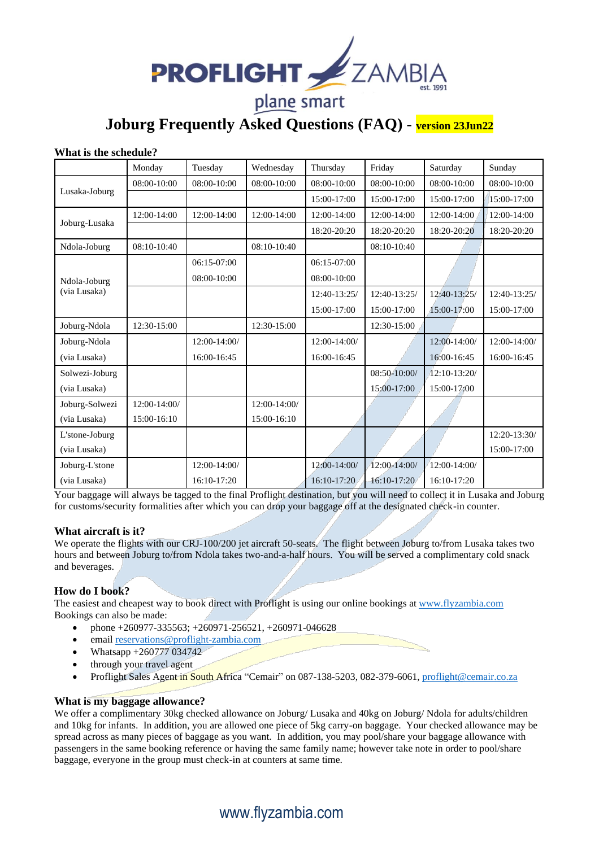

**Joburg Frequently Asked Questions (FAQ) - version 23Jun22**

#### **What is the schedule?**

|                              | Monday       | Tuesday      | Wednesday    | Thursday      | Friday       | Saturday       | Sunday         |
|------------------------------|--------------|--------------|--------------|---------------|--------------|----------------|----------------|
| Lusaka-Joburg                | 08:00-10:00  | 08:00-10:00  | 08:00-10:00  | 08:00-10:00   | 08:00-10:00  | 08:00-10:00    | 08:00-10:00    |
|                              |              |              |              | 15:00-17:00   | 15:00-17:00  | 15:00-17:00    | 15:00-17:00    |
| Joburg-Lusaka                | 12:00-14:00  | 12:00-14:00  | 12:00-14:00  | 12:00-14:00   | 12:00-14:00  | 12:00-14:00    | 12:00-14:00    |
|                              |              |              |              | 18:20-20:20   | 18:20-20:20  | 18:20-20:20    | 18:20-20:20    |
| Ndola-Joburg                 | 08:10-10:40  |              | 08:10-10:40  |               | 08:10-10:40  |                |                |
| Ndola-Joburg<br>(via Lusaka) |              | 06:15-07:00  |              | $06:15-07:00$ |              |                |                |
|                              |              | 08:00-10:00  |              | 08:00-10:00   |              |                |                |
|                              |              |              |              | 12:40-13:25/  | 12:40-13:25/ | 12:40-13:25/   | 12:40-13:25/   |
|                              |              |              |              | 15:00-17:00   | 15:00-17:00  | 15:00-17:00    | 15:00-17:00    |
| Joburg-Ndola                 | 12:30-15:00  |              | 12:30-15:00  |               | 12:30-15:00  |                |                |
| Joburg-Ndola                 |              | 12:00-14:00/ |              | 12:00-14:00/  |              | $12:00-14:00/$ | 12:00-14:00/   |
| (via Lusaka)                 |              | 16:00-16:45  |              | 16:00-16:45   |              | 16:00-16:45    | 16:00-16:45    |
| Solwezi-Joburg               |              |              |              |               | 08:50-10:00/ | 12:10-13:20/   |                |
| (via Lusaka)                 |              |              |              |               | 15:00-17:00  | 15:00-17:00    |                |
| Joburg-Solwezi               | 12:00-14:00/ |              | 12:00-14:00/ |               |              |                |                |
| (via Lusaka)                 | 15:00-16:10  |              | 15:00-16:10  |               |              |                |                |
| L'stone-Joburg               |              |              |              |               |              |                | $12:20-13:30/$ |
| (via Lusaka)                 |              |              |              |               |              |                | 15:00-17:00    |
| Joburg-L'stone               |              | 12:00-14:00/ |              | 12:00-14:00/  | 12:00-14:00/ | 12:00-14:00/   |                |
| (via Lusaka)                 |              | 16:10-17:20  |              | 16:10-17:20   | 16:10-17:20  | 16:10-17:20    |                |

Your baggage will always be tagged to the final Proflight destination, but you will need to collect it in Lusaka and Joburg for customs/security formalities after which you can drop your baggage off at the designated check-in counter.

## **What aircraft is it?**

We operate the flights with our CRJ-100/200 jet aircraft 50-seats. The flight between Joburg to/from Lusaka takes two hours and between Joburg to/from Ndola takes two-and-a-half hours. You will be served a complimentary cold snack and beverages.

## **How do I book?**

The easiest and cheapest way to book direct with Proflight is using our online bookings at [www.flyzambia.com](http://www.flyzambia.com/) Bookings can also be made:

- phone +260977-335563; +260971-256521, +260971-046628
- emai[l reservations@proflight-zambia.com](mailto:reservations@proflight-zambia.com)
- Whatsapp +260777 034742
- through your travel agent
- Proflight Sales Agent in South Africa "Cemair" on 087-138-5203, 082-379-6061[, proflight@cemair.co.za](mailto:proflight@cemair.co.za)

## **What is my baggage allowance?**

We offer a complimentary 30kg checked allowance on Joburg/ Lusaka and 40kg on Joburg/ Ndola for adults/children and 10kg for infants. In addition, you are allowed one piece of 5kg carry-on baggage. Your checked allowance may be spread across as many pieces of baggage as you want. In addition, you may pool/share your baggage allowance with passengers in the same booking reference or having the same family name; however take note in order to pool/share baggage, everyone in the group must check-in at counters at same time.

## www.flyzambia.com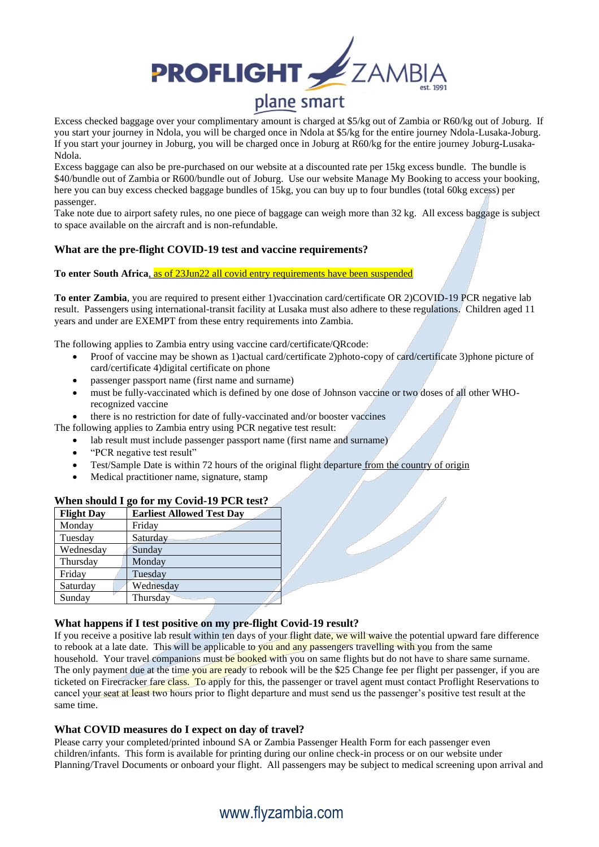

Excess checked baggage over your complimentary amount is charged at \$5/kg out of Zambia or R60/kg out of Joburg. If you start your journey in Ndola, you will be charged once in Ndola at \$5/kg for the entire journey Ndola-Lusaka-Joburg. If you start your journey in Joburg, you will be charged once in Joburg at R60/kg for the entire journey Joburg-Lusaka-Ndola.

Excess baggage can also be pre-purchased on our website at a discounted rate per 15kg excess bundle. The bundle is \$40/bundle out of Zambia or R600/bundle out of Joburg. Use our website Manage My Booking to access your booking, here you can buy excess checked baggage bundles of 15kg, you can buy up to four bundles (total 60kg excess) per passenger.

Take note due to airport safety rules, no one piece of baggage can weigh more than 32 kg. All excess baggage is subject to space available on the aircraft and is non-refundable.

## **What are the pre-flight COVID-19 test and vaccine requirements?**

**To enter South Africa**, as of 23Jun22 all covid entry requirements have been suspended

**To enter Zambia**, you are required to present either 1)vaccination card/certificate OR 2)COVID-19 PCR negative lab result. Passengers using international-transit facility at Lusaka must also adhere to these regulations. Children aged 11 years and under are EXEMPT from these entry requirements into Zambia.

The following applies to Zambia entry using vaccine card/certificate/QRcode:

- Proof of vaccine may be shown as 1)actual card/certificate 2)photo-copy of card/certificate 3)phone picture of card/certificate 4)digital certificate on phone
- passenger passport name (first name and surname)
- must be fully-vaccinated which is defined by one dose of Johnson vaccine or two doses of all other WHOrecognized vaccine
- there is no restriction for date of fully-vaccinated and/or booster vaccines

The following applies to Zambia entry using PCR negative test result:

- lab result must include passenger passport name (first name and surname)
- "PCR negative test result"
- Test/Sample Date is within 72 hours of the original flight departure from the country of origin
- Medical practitioner name, signature, stamp

## **When should I go for my Covid-19 PCR test?**

| <b>Flight Day</b> | <b>Earliest Allowed Test Day</b> |
|-------------------|----------------------------------|
| Monday            | Friday                           |
| Tuesday           | Saturday                         |
| Wednesday         | Sunday                           |
| Thursday          | Monday                           |
| Friday            | Tuesday                          |
| Saturday          | Wednesday                        |
| Sunday            | Thursday                         |

## **What happens if I test positive on my pre-flight Covid-19 result?**

If you receive a positive lab result within ten days of your flight date, we will waive the potential upward fare difference to rebook at a late date. This will be applicable to you and any passengers travelling with you from the same household. Your travel companions must be booked with you on same flights but do not have to share same surname. The only payment due at the time you are ready to rebook will be the \$25 Change fee per flight per passenger, if you are ticketed on Firecracker fare class. To apply for this, the passenger or travel agent must contact Proflight Reservations to cancel your seat at least two hours prior to flight departure and must send us the passenger's positive test result at the same time.

## **What COVID measures do I expect on day of travel?**

Please carry your completed/printed inbound SA or Zambia Passenger Health Form for each passenger even children/infants. This form is available for printing during our online check-in process or on our website under Planning/Travel Documents or onboard your flight. All passengers may be subject to medical screening upon arrival and

# www.flyzambia.com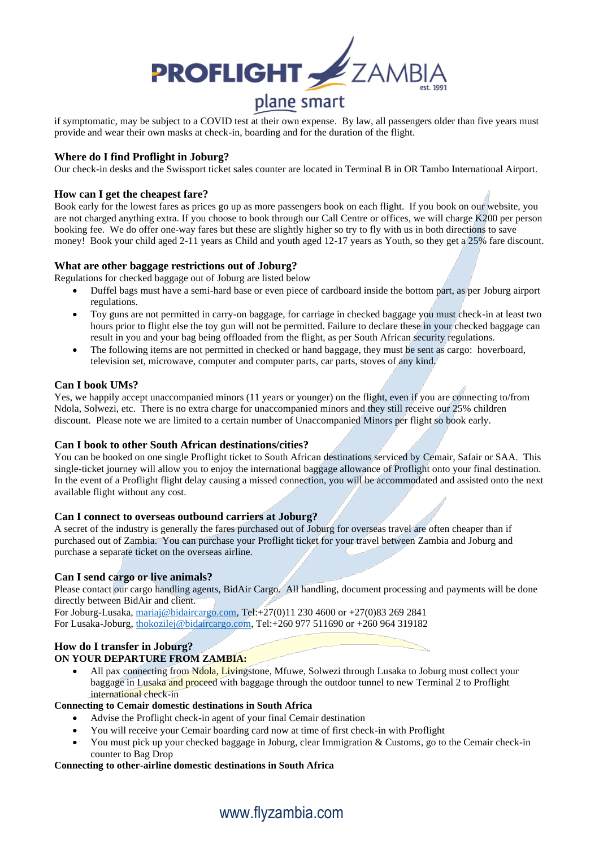

if symptomatic, may be subject to a COVID test at their own expense. By law, all passengers older than five years must provide and wear their own masks at check-in, boarding and for the duration of the flight.

### **Where do I find Proflight in Joburg?**

Our check-in desks and the Swissport ticket sales counter are located in Terminal B in OR Tambo International Airport.

#### **How can I get the cheapest fare?**

Book early for the lowest fares as prices go up as more passengers book on each flight. If you book on our website, you are not charged anything extra. If you choose to book through our Call Centre or offices, we will charge K200 per person booking fee. We do offer one-way fares but these are slightly higher so try to fly with us in both directions to save money! Book your child aged 2-11 years as Child and youth aged 12-17 years as Youth, so they get a 25% fare discount.

#### **What are other baggage restrictions out of Joburg?**

Regulations for checked baggage out of Joburg are listed below

- Duffel bags must have a semi-hard base or even piece of cardboard inside the bottom part, as per Joburg airport regulations.
- Toy guns are not permitted in carry-on baggage, for carriage in checked baggage you must check-in at least two hours prior to flight else the toy gun will not be permitted. Failure to declare these in your checked baggage can result in you and your bag being offloaded from the flight, as per South African security regulations.
- The following items are not permitted in checked or hand baggage, they must be sent as cargo: hoverboard, television set, microwave, computer and computer parts, car parts, stoves of any kind.

#### **Can I book UMs?**

Yes, we happily accept unaccompanied minors (11 years or younger) on the flight, even if you are connecting to/from Ndola, Solwezi, etc. There is no extra charge for unaccompanied minors and they still receive our 25% children discount. Please note we are limited to a certain number of Unaccompanied Minors per flight so book early.

#### **Can I book to other South African destinations/cities?**

You can be booked on one single Proflight ticket to South African destinations serviced by Cemair, Safair or SAA. This single-ticket journey will allow you to enjoy the international baggage allowance of Proflight onto your final destination. In the event of a Proflight flight delay causing a missed connection, you will be accommodated and assisted onto the next available flight without any cost.

#### **Can I connect to overseas outbound carriers at Joburg?**

A secret of the industry is generally the fares purchased out of Joburg for overseas travel are often cheaper than if purchased out of Zambia. You can purchase your Proflight ticket for your travel between Zambia and Joburg and purchase a separate ticket on the overseas airline.

## **Can I send cargo or live animals?**

Please contact our cargo handling agents, BidAir Cargo. All handling, document processing and payments will be done directly between BidAir and client.

For Joburg-Lusaka, [mariaj@bidaircargo.com,](mailto:mariaj@bidaircargo.com) Tel:+27(0)11 230 4600 or +27(0)83 269 2841 For Lusaka-Joburg, [thokozilej@bidaircargo.com,](http://lenishian@bidaircargo.com) Tel:+260 977 511690 or +260 964 319182

## **How do I transfer in Joburg?**

## **ON YOUR DEPARTURE FROM ZAMBIA:**

All pax connecting from Ndola, Livingstone, Mfuwe, Solwezi through Lusaka to Joburg must collect your baggage in Lusaka and proceed with baggage through the outdoor tunnel to new Terminal 2 to Proflight international check-in

#### **Connecting to Cemair domestic destinations in South Africa**

- Advise the Proflight check-in agent of your final Cemair destination
- You will receive your Cemair boarding card now at time of first check-in with Proflight
- You must pick up your checked baggage in Joburg, clear Immigration & Customs, go to the Cemair check-in counter to Bag Drop

#### **Connecting to other-airline domestic destinations in South Africa**

## www.flyzambia.com